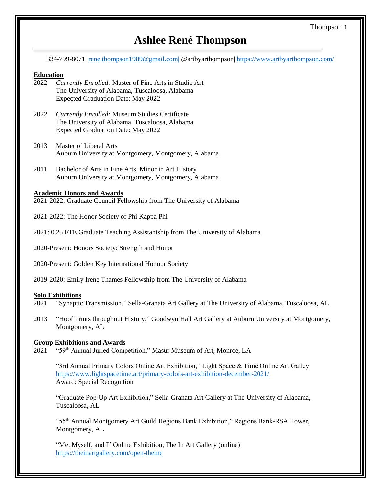# **Ashlee René Thompson**

334-799-8071| [rene.thompson1989@gmail.com|](mailto:rene.thompson1989@gmail.com%7C) @artbyarthompson|<https://www.artbyarthompson.com/>

## **Education**

- 2022 *Currently Enrolled:* Master of Fine Arts in Studio Art The University of Alabama, Tuscaloosa, Alabama Expected Graduation Date: May 2022
- 2022 *Currently Enrolled:* Museum Studies Certificate The University of Alabama, Tuscaloosa, Alabama Expected Graduation Date: May 2022
- 2013 Master of Liberal Arts Auburn University at Montgomery, Montgomery, Alabama
- 2011 Bachelor of Arts in Fine Arts, Minor in Art History Auburn University at Montgomery, Montgomery, Alabama

## **Academic Honors and Awards**

2021-2022: Graduate Council Fellowship from The University of Alabama

- 2021-2022: The Honor Society of Phi Kappa Phi
- 2021: 0.25 FTE Graduate Teaching Assistantship from The University of Alabama
- 2020-Present: Honors Society: Strength and Honor
- 2020-Present: Golden Key International Honour Society
- 2019-2020: Emily Irene Thames Fellowship from The University of Alabama

#### **Solo Exhibitions**

- 2021 "Synaptic Transmission," Sella-Granata Art Gallery at The University of Alabama, Tuscaloosa, AL
- 2013 "Hoof Prints throughout History," Goodwyn Hall Art Gallery at Auburn University at Montgomery, Montgomery, AL

#### **Group Exhibitions and Awards**

2021 "59th Annual Juried Competition," Masur Museum of Art, Monroe, LA

"3rd Annual Primary Colors Online Art Exhibition," Light Space & Time Online Art Galley <https://www.lightspacetime.art/primary-colors-art-exhibition-december-2021/> Award: Special Recognition

"Graduate Pop-Up Art Exhibition," Sella-Granata Art Gallery at The University of Alabama, Tuscaloosa, AL

"55th Annual Montgomery Art Guild Regions Bank Exhibition," Regions Bank-RSA Tower, Montgomery, AL

"Me, Myself, and I" Online Exhibition, The In Art Gallery (online) <https://theinartgallery.com/open-theme>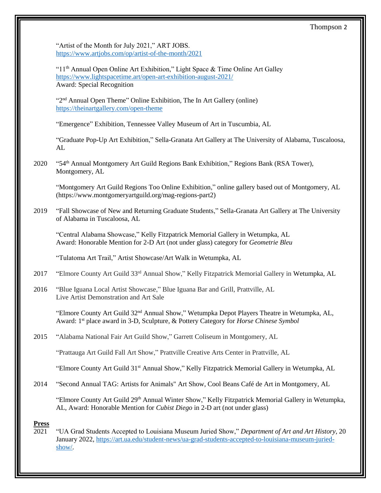"Artist of the Month for July 2021," ART JOBS. <https://www.artjobs.com/op/artist-of-the-month/2021>

" $11<sup>th</sup>$  Annual Open Online Art Exhibition," Light Space & Time Online Art Galley <https://www.lightspacetime.art/open-art-exhibition-august-2021/> Award: Special Recognition

"2<sup>nd</sup> Annual Open Theme" Online Exhibition, The In Art Gallery (online) <https://theinartgallery.com/open-theme>

"Emergence" Exhibition, Tennessee Valley Museum of Art in Tuscumbia, AL

"Graduate Pop-Up Art Exhibition," Sella-Granata Art Gallery at The University of Alabama, Tuscaloosa, AL

2020 "54th Annual Montgomery Art Guild Regions Bank Exhibition," Regions Bank (RSA Tower), Montgomery, AL

"Montgomery Art Guild Regions Too Online Exhibition," online gallery based out of Montgomery, AL [\(https://www.montgomeryartguild.org/mag-regions-part2\)](https://www.montgomeryartguild.org/mag-regions-part2)

2019 "Fall Showcase of New and Returning Graduate Students," Sella-Granata Art Gallery at The University of Alabama in Tuscaloosa, AL

"Central Alabama Showcase," Kelly Fitzpatrick Memorial Gallery in Wetumpka, AL Award: Honorable Mention for 2-D Art (not under glass) category for *Geometrie Bleu*

"Tulatoma Art Trail," Artist Showcase/Art Walk in Wetumpka, AL

- 2017 "Elmore County Art Guild 33<sup>rd</sup> Annual Show," Kelly Fitzpatrick Memorial Gallery in Wetumpka, AL
- 2016 "Blue Iguana Local Artist Showcase," Blue Iguana Bar and Grill, Prattville, AL Live Artist Demonstration and Art Sale

"Elmore County Art Guild 32nd Annual Show," Wetumpka Depot Players Theatre in Wetumpka, AL, Award: 1st place award in 3-D, Sculpture, & Pottery Category for *Horse Chinese Symbol*

2015 "Alabama National Fair Art Guild Show," Garrett Coliseum in Montgomery, AL

"Prattauga Art Guild Fall Art Show," Prattville Creative Arts Center in Prattville, AL

"Elmore County Art Guild 31<sup>st</sup> Annual Show," Kelly Fitzpatrick Memorial Gallery in Wetumpka, AL

2014 "Second Annual TAG: Artists for Animals" Art Show, Cool Beans Café de Art in Montgomery, AL

"Elmore County Art Guild 29<sup>th</sup> Annual Winter Show," Kelly Fitzpatrick Memorial Gallery in Wetumpka, AL, Award: Honorable Mention for *Cubist Diego* in 2-D art (not under glass)

# **Press**

2021 "UA Grad Students Accepted to Louisiana Museum Juried Show," *Department of Art and Art History*, 20 January 2022, [https://art.ua.edu/student-news/ua-grad-students-accepted-to-louisiana-museum-juried](https://art.ua.edu/student-news/ua-grad-students-accepted-to-louisiana-museum-juried-show/)[show/.](https://art.ua.edu/student-news/ua-grad-students-accepted-to-louisiana-museum-juried-show/)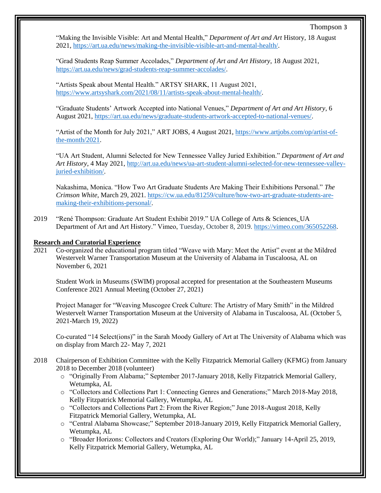"Making the Invisible Visible: Art and Mental Health," *Department of Art and Art* History, 18 August 2021, [https://art.ua.edu/news/making-the-invisible-visible-art-and-mental-health/.](https://art.ua.edu/news/making-the-invisible-visible-art-and-mental-health/)

"Grad Students Reap Summer Accolades," *Department of Art and Art History*, 18 August 2021, [https://art.ua.edu/news/grad-students-reap-summer-accolades/.](https://art.ua.edu/news/grad-students-reap-summer-accolades/)

"Artists Speak about Mental Health." ARTSY SHARK, 11 August 2021, [https://www.artsyshark.com/2021/08/11/artists-speak-about-mental-health/.](https://www.artsyshark.com/2021/08/11/artists-speak-about-mental-health/)

"Graduate Students' Artwork Accepted into National Venues," *Department of Art and Art History*, 6 August 2021, [https://art.ua.edu/news/graduate-students-artwork-accepted-to-national-venues/.](https://art.ua.edu/news/graduate-students-artwork-accepted-to-national-venues/)

"Artist of the Month for July 2021," ART JOBS, 4 August 2021, [https://www.artjobs.com/op/artist-of](https://www.artjobs.com/op/artist-of-the-month/2021)[the-month/2021.](https://www.artjobs.com/op/artist-of-the-month/2021)

"UA Art Student, Alumni Selected for New Tennessee Valley Juried Exhibition." *Department of Art and Art History*, 4 May 2021, [http://art.ua.edu/news/ua-art-student-alumni-selected-for-new-tennessee-valley](http://art.ua.edu/news/ua-art-student-alumni-selected-for-new-tennessee-valley-juried-exhibition/)[juried-exhibition/.](http://art.ua.edu/news/ua-art-student-alumni-selected-for-new-tennessee-valley-juried-exhibition/)

Nakashima, Monica. "How Two Art Graduate Students Are Making Their Exhibitions Personal." *The Crimson White*, March 29, 2021. [https://cw.ua.edu/81259/culture/how-two-art-graduate-students-are](https://cw.ua.edu/81259/culture/how-two-art-graduate-students-are-making-their-exhibitions-personal/)[making-their-exhibitions-personal/.](https://cw.ua.edu/81259/culture/how-two-art-graduate-students-are-making-their-exhibitions-personal/)

2019 "René Thompson: Graduate Art Student Exhibit 2019." [UA College of Arts & Sciences.](https://vimeo.com/etech) UA Department of Art and Art History." Vimeo, Tuesday, October 8, 2019. [https://vimeo.com/365052268.](https://vimeo.com/365052268)

# **Research and Curatorial Experience**

2021 Co-organized the educational program titled "Weave with Mary: Meet the Artist" event at the Mildred Westervelt Warner Transportation Museum at the University of Alabama in Tuscaloosa, AL on November 6, 2021

Student Work in Museums (SWIM) proposal accepted for presentation at the Southeastern Museums Conference 2021 Annual Meeting (October 27, 2021)

Project Manager for "Weaving Muscogee Creek Culture: The Artistry of Mary Smith" in the Mildred Westervelt Warner Transportation Museum at the University of Alabama in Tuscaloosa, AL (October 5, 2021-March 19, 2022)

Co-curated "14 Select(ions)" in the Sarah Moody Gallery of Art at The University of Alabama which was on display from March 22- May 7, 2021

- 2018 Chairperson of Exhibition Committee with the Kelly Fitzpatrick Memorial Gallery (KFMG) from January 2018 to December 2018 (volunteer)
	- o "Originally From Alabama;" September 2017-January 2018, Kelly Fitzpatrick Memorial Gallery, Wetumpka, AL
	- o "Collectors and Collections Part 1: Connecting Genres and Generations;" March 2018-May 2018, Kelly Fitzpatrick Memorial Gallery, Wetumpka, AL
	- o "Collectors and Collections Part 2: From the River Region;" June 2018-August 2018, Kelly Fitzpatrick Memorial Gallery, Wetumpka, AL
	- o "Central Alabama Showcase;" September 2018-January 2019, Kelly Fitzpatrick Memorial Gallery, Wetumpka, AL
	- o "Broader Horizons: Collectors and Creators (Exploring Our World);" January 14-April 25, 2019, Kelly Fitzpatrick Memorial Gallery, Wetumpka, AL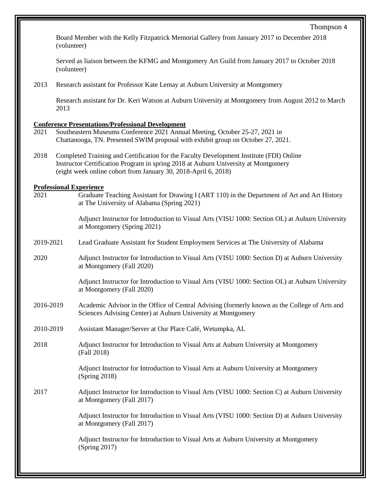Board Member with the Kelly Fitzpatrick Memorial Gallery from January 2017 to December 2018 (volunteer)

Served as liaison between the KFMG and Montgomery Art Guild from January 2017 to October 2018 (volunteer)

2013 Research assistant for Professor Kate Lemay at Auburn University at Montgomery

Research assistant for Dr. Keri Watson at Auburn University at Montgomery from August 2012 to March 2013

## **Conference Presentations/Professional Development**

- 2021 Southeastern Museums Conference 2021 Annual Meeting, October 25-27, 2021 in Chattanooga, TN. Presented SWIM proposal with exhibit group on October 27, 2021.
- 2018 Completed Training and Certification for the Faculty Development Institute (FDI) Online Instructor Certification Program in spring 2018 at Auburn University at Montgomery (eight week online cohort from January 30, 2018-April 6, 2018)

#### **Professional Experience**

2021 Graduate Teaching Assistant for Drawing I (ART 110) in the Department of Art and Art History at The University of Alabama (Spring 2021)

> Adjunct Instructor for Introduction to Visual Arts (VISU 1000: Section OL) at Auburn University at Montgomery (Spring 2021)

- 2019-2021 Lead Graduate Assistant for Student Employment Services at The University of Alabama
- 2020 Adjunct Instructor for Introduction to Visual Arts (VISU 1000: Section D) at Auburn University at Montgomery (Fall 2020)

Adjunct Instructor for Introduction to Visual Arts (VISU 1000: Section OL) at Auburn University at Montgomery (Fall 2020)

- 2016-2019 Academic Advisor in the Office of Central Advising (formerly known as the College of Arts and Sciences Advising Center) at Auburn University at Montgomery
- 2010-2019 Assistant Manager/Server at Our Place Café, Wetumpka, AL
- 2018 Adjunct Instructor for Introduction to Visual Arts at Auburn University at Montgomery (Fall 2018)

Adjunct Instructor for Introduction to Visual Arts at Auburn University at Montgomery (Spring 2018)

2017 Adjunct Instructor for Introduction to Visual Arts (VISU 1000: Section C) at Auburn University at Montgomery (Fall 2017)

> Adjunct Instructor for Introduction to Visual Arts (VISU 1000: Section D) at Auburn University at Montgomery (Fall 2017)

Adjunct Instructor for Introduction to Visual Arts at Auburn University at Montgomery (Spring 2017)